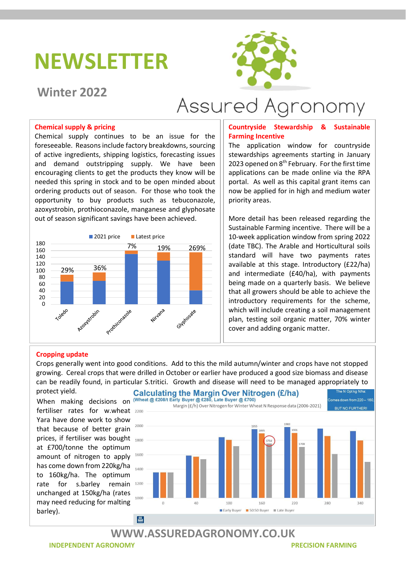## NEWSLETTER

### Winter 2022



# Assured Agronomy

#### Chemical supply & pricing

Chemical supply continues to be an issue for the foreseeable. Reasons include factory breakdowns, sourcing of active ingredients, shipping logistics, forecasting issues and demand outstripping supply. We have been encouraging clients to get the products they know will be needed this spring in stock and to be open minded about ordering products out of season. For those who took the opportunity to buy products such as tebuconazole, azoxystrobin, prothioconazole, manganese and glyphosate out of season significant savings have been achieved.



#### Countryside Stewardship & Sustainable Farming Incentive

The application window for countryside stewardships agreements starting in January 2023 opened on  $8<sup>th</sup>$  February. For the first time applications can be made online via the RPA portal. As well as this capital grant items can now be applied for in high and medium water priority areas.

2021 price Latest price 10-week application window from spring 2022  $7\%$  19% 269%  $\left|\right|$  (date TBC). The Arable and Horticultural soils More detail has been released regarding the Sustainable Farming incentive. There will be a standard will have two payments rates available at this stage. Introductory (£22/ha) and intermediate (£40/ha), with payments being made on a quarterly basis. We believe that all growers should be able to achieve the introductory requirements for the scheme, which will include creating a soil management plan, testing soil organic matter, 70% winter cover and adding organic matter.

#### Cropping update

Crops generally went into good conditions. Add to this the mild autumn/winter and crops have not stopped growing. Cereal crops that were drilled in October or earlier have produced a good size biomass and disease can be readily found, in particular S.tritici. Growth and disease will need to be managed appropriately to

protect yield. fertiliser rates for w.wheat Yara have done work to show that because of better grain prices, if fertiliser was bought at £700/tonne the optimum amount of nitrogen to apply has come down from 220kg/ha to 160kg/ha. The optimum rate for s.barlev remain 1200 unchanged at 150kg/ha (rates may need reducing for malting barley).



### WWW.ASSUREDAGRONOMY.CO.UK